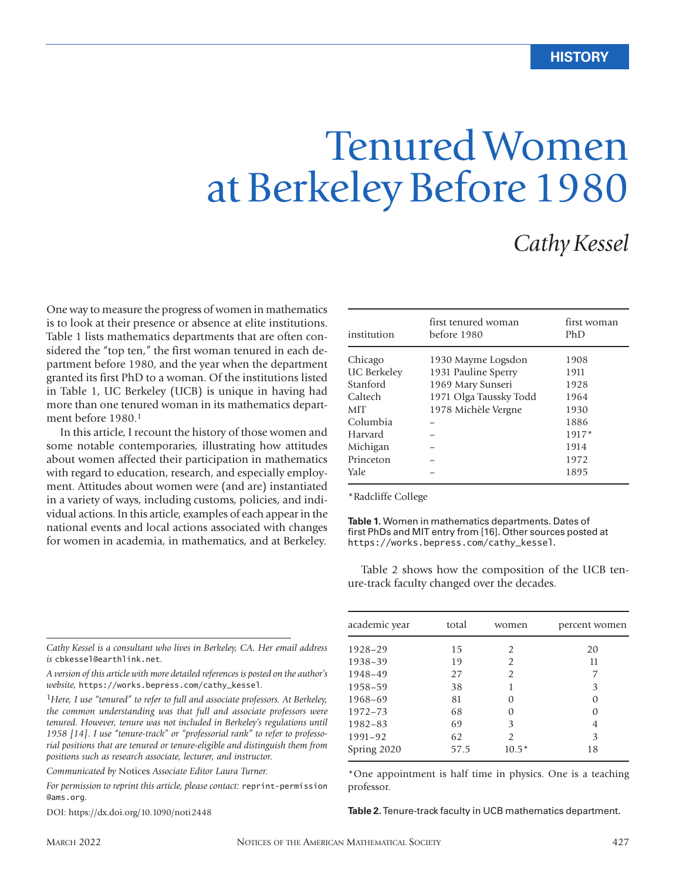# Tenured Women at Berkeley Before 1980

# *Cathy Kessel*

One way to measure the progress of women in mathematics is to look at their presence or absence at elite institutions. Table 1 lists mathematics departments that are often considered the "top ten," the first woman tenured in each department before 1980, and the year when the department granted its first PhD to a woman. Of the institutions listed in Table 1, UC Berkeley (UCB) is unique in having had more than one tenured woman in its mathematics department before 1980.<sup>1</sup>

In this article, I recount the history of those women and some notable contemporaries, illustrating how attitudes about women affected their participation in mathematics with regard to education, research, and especially employment. Attitudes about women were (and are) instantiated in a variety of ways, including customs, policies, and individual actions. In this article, examples of each appear in the national events and local actions associated with changes for women in academia, in mathematics, and at Berkeley.

| institution        | first tenured woman<br>before 1980 | first woman<br>PhD |
|--------------------|------------------------------------|--------------------|
| Chicago            | 1930 Mayme Logsdon                 | 1908               |
| <b>UC</b> Berkeley | 1931 Pauline Sperry                | 1911               |
| Stanford           | 1969 Mary Sunseri                  | 1928               |
| Caltech            | 1971 Olga Taussky Todd             | 1964               |
| MIT                | 1978 Michèle Vergne                | 1930               |
| Columbia           |                                    | 1886               |
| Harvard            |                                    | 1917*              |
| Michigan           |                                    | 1914               |
| Princeton          |                                    | 1972               |
| <b>Yale</b>        |                                    | 1895               |

\*Radcliffe College

**Table 1.** Women in mathematics departments. Dates of first PhDs and MIT entry from [16]. Other sources posted at https://works.bepress.com/cathy\_kessel.

Table 2 shows how the composition of the UCB tenure-track faculty changed over the decades.

*Cathy Kessel is a consultant who lives in Berkeley, CA. Her email address is* cbkessel@earthlink.net*.* 

*A version of this article with more detailed references is posted on the author's website,* https://works.bepress.com/cathy\_kessel*.*

<sup>1</sup>*Here, I use "tenured" to refer to full and associate professors. At Berkeley, the common understanding was that full and associate professors were tenured. However, tenure was not included in Berkeley's regulations until 1958 [14]. I use "tenure-track" or "professorial rank" to refer to professorial positions that are tenured or tenure-eligible and distinguish them from positions such as research associate, lecturer, and instructor.*

*Communicated by* Notices *Associate Editor Laura Turner.*

*For permission to reprint this article, please contact:* reprint-permission @ams.org.

DOI: https://dx.doi.org/10.1090/noti2448

| academic year | total | women         | percent women |
|---------------|-------|---------------|---------------|
| 1928-29       | 15    | $\mathcal{P}$ | 20            |
| 1938-39       | 19    | $\mathcal{P}$ | 11            |
| 1948-49       | 27    | $\mathcal{P}$ |               |
| 1958-59       | 38    |               | З             |
| 1968-69       | 81    |               |               |
| 1972-73       | 68    |               |               |
| 1982-83       | 69    | 3             | 4             |
| 1991-92       | 62    | $\mathcal{D}$ | 3             |
| Spring 2020   | 57.5  | $10.5*$       | 18            |

\*One appointment is half time in physics. One is a teaching professor.

**Table 2.** Tenure-track faculty in UCB mathematics department.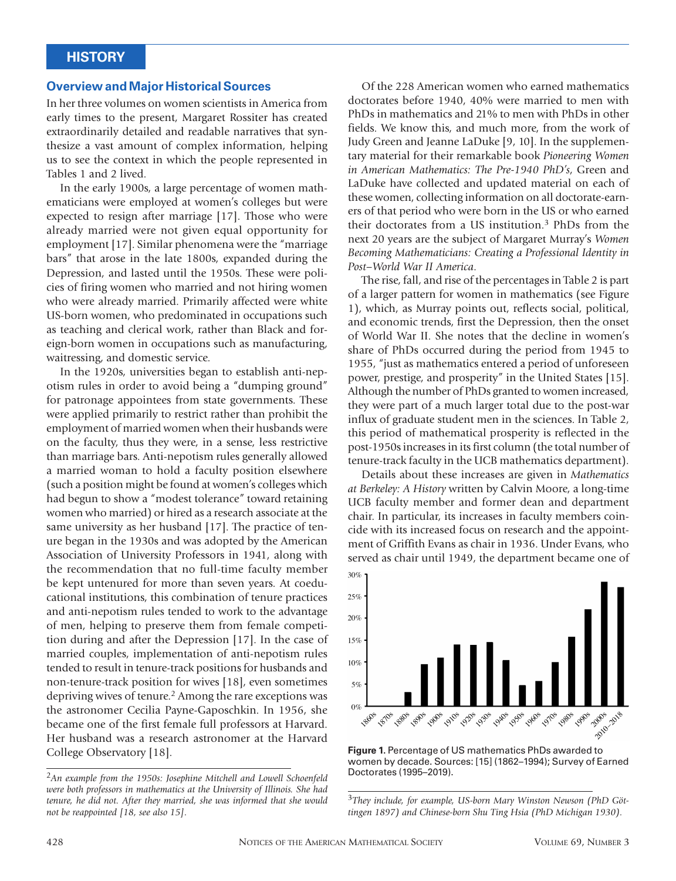#### **Overview and Major Historical Sources**

In her three volumes on women scientists in America from early times to the present, Margaret Rossiter has created extraordinarily detailed and readable narratives that synthesize a vast amount of complex information, helping us to see the context in which the people represented in Tables 1 and 2 lived.

In the early 1900s, a large percentage of women mathematicians were employed at women's colleges but were expected to resign after marriage [17]. Those who were already married were not given equal opportunity for employment [17]. Similar phenomena were the "marriage bars" that arose in the late 1800s, expanded during the Depression, and lasted until the 1950s. These were policies of firing women who married and not hiring women who were already married. Primarily affected were white US-born women, who predominated in occupations such as teaching and clerical work, rather than Black and foreign-born women in occupations such as manufacturing, waitressing, and domestic service.

In the 1920s, universities began to establish anti-nepotism rules in order to avoid being a "dumping ground" for patronage appointees from state governments. These were applied primarily to restrict rather than prohibit the employment of married women when their husbands were on the faculty, thus they were, in a sense, less restrictive than marriage bars. Anti-nepotism rules generally allowed a married woman to hold a faculty position elsewhere (such a position might be found at women's colleges which had begun to show a "modest tolerance" toward retaining women who married) or hired as a research associate at the same university as her husband [17]. The practice of tenure began in the 1930s and was adopted by the American Association of University Professors in 1941, along with the recommendation that no full-time faculty member be kept untenured for more than seven years. At coeducational institutions, this combination of tenure practices and anti-nepotism rules tended to work to the advantage of men, helping to preserve them from female competition during and after the Depression [17]. In the case of married couples, implementation of anti-nepotism rules tended to result in tenure-track positions for husbands and non-tenure-track position for wives [18], even sometimes depriving wives of tenure.<sup>2</sup> Among the rare exceptions was the astronomer Cecilia Payne-Gaposchkin. In 1956, she became one of the first female full professors at Harvard. Her husband was a research astronomer at the Harvard College Observatory [18].

Of the 228 American women who earned mathematics doctorates before 1940, 40% were married to men with PhDs in mathematics and 21% to men with PhDs in other fields. We know this, and much more, from the work of Judy Green and Jeanne LaDuke [9, 10]. In the supplementary material for their remarkable book *Pioneering Women in American Mathematics: The Pre-1940 PhD's*, Green and LaDuke have collected and updated material on each of these women, collecting information on all doctorate-earners of that period who were born in the US or who earned their doctorates from a US institution.3 PhDs from the next 20 years are the subject of Margaret Murray's *Women Becoming Mathematicians: Creating a Professional Identity in Post–World War II America*.

The rise, fall, and rise of the percentages in Table 2 is part of a larger pattern for women in mathematics (see Figure 1), which, as Murray points out, reflects social, political, and economic trends, first the Depression, then the onset of World War II. She notes that the decline in women's share of PhDs occurred during the period from 1945 to 1955, "just as mathematics entered a period of unforeseen power, prestige, and prosperity" in the United States [15]. Although the number of PhDs granted to women increased, they were part of a much larger total due to the post-war influx of graduate student men in the sciences. In Table 2, this period of mathematical prosperity is reflected in the post-1950s increases in its first column (the total number of tenure-track faculty in the UCB mathematics department).

Details about these increases are given in *Mathematics at Berkeley: A History* written by Calvin Moore, a long-time UCB faculty member and former dean and department chair. In particular, its increases in faculty members coincide with its increased focus on research and the appointment of Griffith Evans as chair in 1936. Under Evans, who served as chair until 1949, the department became one of



**Figure 1.** Percentage of US mathematics PhDs awarded to women by decade. Sources: [15] (1862–1994); Survey of Earned Doctorates (1995–2019).

<sup>2</sup>*An example from the 1950s: Josephine Mitchell and Lowell Schoenfeld were both professors in mathematics at the University of Illinois. She had tenure, he did not. After they married, she was informed that she would not be reappointed [18, see also 15].*

<sup>3</sup>*They include, for example, US-born Mary Winston Newson (PhD Göttingen 1897) and Chinese-born Shu Ting Hsia (PhD Michigan 1930).*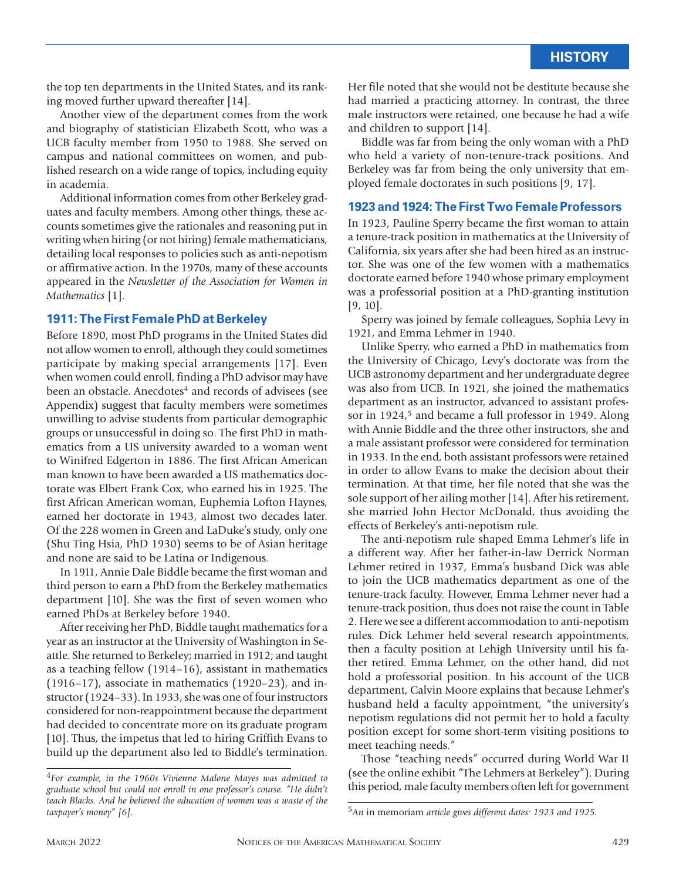the top ten departments in the United States, and its ranking moved further upward thereafter [14].

Another view of the department comes from the work and biography of statistician Elizabeth Scott, who was a UCB faculty member from 1950 to 1988. She served on campus and national committees on women, and published research on a wide range of topics, including equity in academia.

Additional information comes from other Berkeley graduates and faculty members. Among other things, these accounts sometimes give the rationales and reasoning put in writing when hiring (or not hiring) female mathematicians, detailing local responses to policies such as anti-nepotism or affirmative action. In the 1970s, many of these accounts appeared in the *Newsletter of the Association for Women in Mathematics* [1].

#### **1911: The First Female PhD at Berkeley**

Before 1890, most PhD programs in the United States did not allow women to enroll, although they could sometimes participate by making special arrangements [17]. Even when women could enroll, finding a PhD advisor may have been an obstacle. Anecdotes<sup>4</sup> and records of advisees (see Appendix) suggest that faculty members were sometimes unwilling to advise students from particular demographic groups or unsuccessful in doing so. The first PhD in mathematics from a US university awarded to a woman went to Winifred Edgerton in 1886. The first African American man known to have been awarded a US mathematics doctorate was Elbert Frank Cox, who earned his in 1925. The first African American woman, Euphemia Lofton Haynes, earned her doctorate in 1943, almost two decades later. Of the 228 women in Green and LaDuke's study, only one (Shu Ting Hsia, PhD 1930) seems to be of Asian heritage and none are said to be Latina or Indigenous.

In 1911, Annie Dale Biddle became the first woman and third person to earn a PhD from the Berkeley mathematics department [10]. She was the first of seven women who earned PhDs at Berkeley before 1940.

After receiving her PhD, Biddle taught mathematics for a year as an instructor at the University of Washington in Seattle. She returned to Berkeley; married in 1912; and taught as a teaching fellow (1914–16), assistant in mathematics (1916–17), associate in mathematics (1920–23), and instructor (1924–33). In 1933, she was one of four instructors considered for non-reappointment because the department had decided to concentrate more on its graduate program [10]. Thus, the impetus that led to hiring Griffith Evans to build up the department also led to Biddle's termination. Her file noted that she would not be destitute because she had married a practicing attorney. In contrast, the three male instructors were retained, one because he had a wife and children to support [14].

Biddle was far from being the only woman with a PhD who held a variety of non-tenure-track positions. And Berkeley was far from being the only university that employed female doctorates in such positions [9, 17].

#### **1923 and 1924: The First Two Female Professors**

In 1923, Pauline Sperry became the first woman to attain a tenure-track position in mathematics at the University of California, six years after she had been hired as an instructor. She was one of the few women with a mathematics doctorate earned before 1940 whose primary employment was a professorial position at a PhD-granting institution [9, 10].

Sperry was joined by female colleagues, Sophia Levy in 1921, and Emma Lehmer in 1940.

Unlike Sperry, who earned a PhD in mathematics from the University of Chicago, Levy's doctorate was from the UCB astronomy department and her undergraduate degree was also from UCB. In 1921, she joined the mathematics department as an instructor, advanced to assistant professor in 1924,<sup>5</sup> and became a full professor in 1949. Along with Annie Biddle and the three other instructors, she and a male assistant professor were considered for termination in 1933. In the end, both assistant professors were retained in order to allow Evans to make the decision about their termination. At that time, her file noted that she was the sole support of her ailing mother [14]. After his retirement, she married John Hector McDonald, thus avoiding the effects of Berkeley's anti-nepotism rule.

The anti-nepotism rule shaped Emma Lehmer's life in a different way. After her father-in-law Derrick Norman Lehmer retired in 1937, Emma's husband Dick was able to join the UCB mathematics department as one of the tenure-track faculty. However, Emma Lehmer never had a tenure-track position, thus does not raise the count in Table 2. Here we see a different accommodation to anti-nepotism rules. Dick Lehmer held several research appointments, then a faculty position at Lehigh University until his father retired. Emma Lehmer, on the other hand, did not hold a professorial position. In his account of the UCB department, Calvin Moore explains that because Lehmer's husband held a faculty appointment, "the university's nepotism regulations did not permit her to hold a faculty position except for some short-term visiting positions to meet teaching needs."

Those "teaching needs" occurred during World War II (see the online exhibit "The Lehmers at Berkeley"). During this period, male faculty members often left for government

<sup>4</sup>*For example, in the 1960s Vivienne Malone Mayes was admitted to graduate school but could not enroll in one professor's course. "He didn't teach Blacks. And he believed the education of women was a waste of the taxpayer's money" [6].*

<sup>5</sup>*An* in memoriam *article gives different dates: 1923 and 1925.*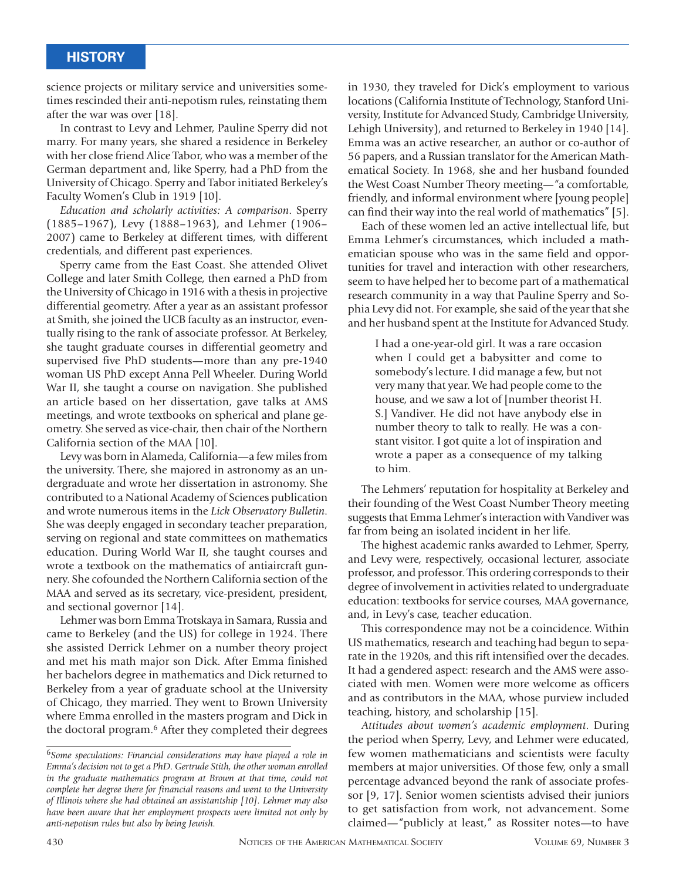science projects or military service and universities sometimes rescinded their anti-nepotism rules, reinstating them after the war was over [18].

In contrast to Levy and Lehmer, Pauline Sperry did not marry. For many years, she shared a residence in Berkeley with her close friend Alice Tabor, who was a member of the German department and, like Sperry, had a PhD from the University of Chicago. Sperry and Tabor initiated Berkeley's Faculty Women's Club in 1919 [10].

*Education and scholarly activities: A comparison*. Sperry (1885–1967), Levy (1888–1963), and Lehmer (1906– 2007) came to Berkeley at different times, with different credentials, and different past experiences.

Sperry came from the East Coast. She attended Olivet College and later Smith College, then earned a PhD from the University of Chicago in 1916 with a thesis in projective differential geometry. After a year as an assistant professor at Smith, she joined the UCB faculty as an instructor, eventually rising to the rank of associate professor. At Berkeley, she taught graduate courses in differential geometry and supervised five PhD students—more than any pre-1940 woman US PhD except Anna Pell Wheeler. During World War II, she taught a course on navigation. She published an article based on her dissertation, gave talks at AMS meetings, and wrote textbooks on spherical and plane geometry. She served as vice-chair, then chair of the Northern California section of the MAA [10].

Levy was born in Alameda, California—a few miles from the university. There, she majored in astronomy as an undergraduate and wrote her dissertation in astronomy. She contributed to a National Academy of Sciences publication and wrote numerous items in the *Lick Observatory Bulletin*. She was deeply engaged in secondary teacher preparation, serving on regional and state committees on mathematics education. During World War II, she taught courses and wrote a textbook on the mathematics of antiaircraft gunnery. She cofounded the Northern California section of the MAA and served as its secretary, vice-president, president, and sectional governor [14].

Lehmer was born Emma Trotskaya in Samara, Russia and came to Berkeley (and the US) for college in 1924. There she assisted Derrick Lehmer on a number theory project and met his math major son Dick. After Emma finished her bachelors degree in mathematics and Dick returned to Berkeley from a year of graduate school at the University of Chicago, they married. They went to Brown University where Emma enrolled in the masters program and Dick in the doctoral program.6 After they completed their degrees

in 1930, they traveled for Dick's employment to various locations (California Institute of Technology, Stanford University, Institute for Advanced Study, Cambridge University, Lehigh University), and returned to Berkeley in 1940 [14]. Emma was an active researcher, an author or co-author of 56 papers, and a Russian translator for the American Mathematical Society. In 1968, she and her husband founded the West Coast Number Theory meeting—"a comfortable, friendly, and informal environment where [young people] can find their way into the real world of mathematics" [5].

Each of these women led an active intellectual life, but Emma Lehmer's circumstances, which included a mathematician spouse who was in the same field and opportunities for travel and interaction with other researchers, seem to have helped her to become part of a mathematical research community in a way that Pauline Sperry and Sophia Levy did not. For example, she said of the year that she and her husband spent at the Institute for Advanced Study.

I had a one-year-old girl. It was a rare occasion when I could get a babysitter and come to somebody's lecture. I did manage a few, but not very many that year. We had people come to the house, and we saw a lot of [number theorist H. S.] Vandiver. He did not have anybody else in number theory to talk to really. He was a constant visitor. I got quite a lot of inspiration and wrote a paper as a consequence of my talking to him.

The Lehmers' reputation for hospitality at Berkeley and their founding of the West Coast Number Theory meeting suggests that Emma Lehmer's interaction with Vandiver was far from being an isolated incident in her life.

The highest academic ranks awarded to Lehmer, Sperry, and Levy were, respectively, occasional lecturer, associate professor, and professor. This ordering corresponds to their degree of involvement in activities related to undergraduate education: textbooks for service courses, MAA governance, and, in Levy's case, teacher education.

This correspondence may not be a coincidence. Within US mathematics, research and teaching had begun to separate in the 1920s, and this rift intensified over the decades. It had a gendered aspect: research and the AMS were associated with men. Women were more welcome as officers and as contributors in the MAA, whose purview included teaching, history, and scholarship [15].

*Attitudes about women's academic employment*. During the period when Sperry, Levy, and Lehmer were educated, few women mathematicians and scientists were faculty members at major universities. Of those few, only a small percentage advanced beyond the rank of associate professor [9, 17]. Senior women scientists advised their juniors to get satisfaction from work, not advancement. Some claimed—"publicly at least," as Rossiter notes—to have

<sup>6</sup>*Some speculations: Financial considerations may have played a role in Emma's decision not to get a PhD. Gertrude Stith, the other woman enrolled in the graduate mathematics program at Brown at that time, could not complete her degree there for financial reasons and went to the University of Illinois where she had obtained an assistantship [10]. Lehmer may also have been aware that her employment prospects were limited not only by anti-nepotism rules but also by being Jewish.*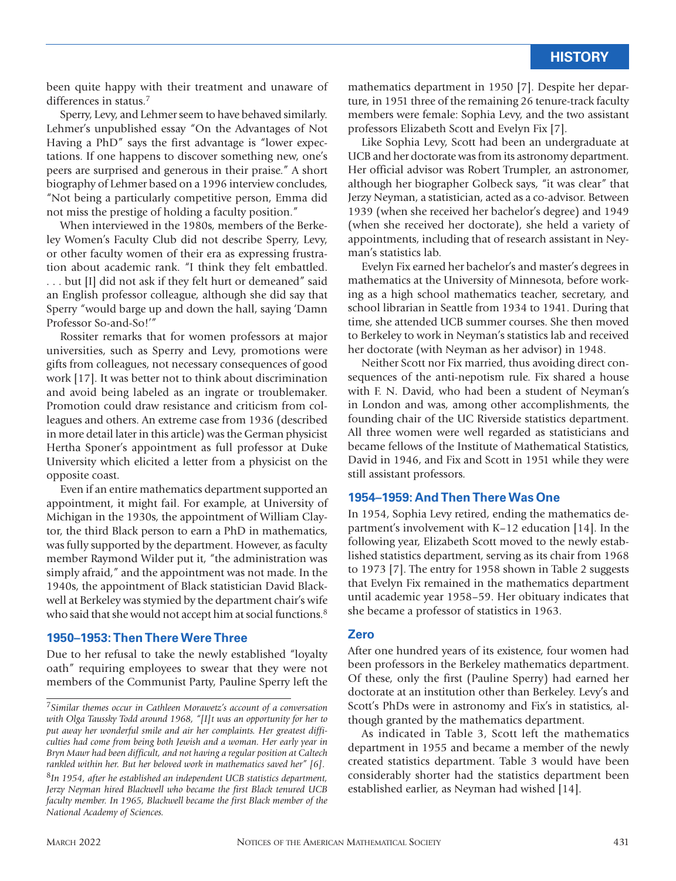been quite happy with their treatment and unaware of differences in status.7

Sperry, Levy, and Lehmer seem to have behaved similarly. Lehmer's unpublished essay "On the Advantages of Not Having a PhD" says the first advantage is "lower expectations. If one happens to discover something new, one's peers are surprised and generous in their praise." A short biography of Lehmer based on a 1996 interview concludes, "Not being a particularly competitive person, Emma did not miss the prestige of holding a faculty position."

When interviewed in the 1980s, members of the Berkeley Women's Faculty Club did not describe Sperry, Levy, or other faculty women of their era as expressing frustration about academic rank. "I think they felt embattled. . . . but [I] did not ask if they felt hurt or demeaned" said an English professor colleague, although she did say that Sperry "would barge up and down the hall, saying 'Damn Professor So-and-So!'"

Rossiter remarks that for women professors at major universities, such as Sperry and Levy, promotions were gifts from colleagues, not necessary consequences of good work [17]. It was better not to think about discrimination and avoid being labeled as an ingrate or troublemaker. Promotion could draw resistance and criticism from colleagues and others. An extreme case from 1936 (described in more detail later in this article) was the German physicist Hertha Sponer's appointment as full professor at Duke University which elicited a letter from a physicist on the opposite coast.

Even if an entire mathematics department supported an appointment, it might fail. For example, at University of Michigan in the 1930s, the appointment of William Claytor, the third Black person to earn a PhD in mathematics, was fully supported by the department. However, as faculty member Raymond Wilder put it, "the administration was simply afraid," and the appointment was not made. In the 1940s, the appointment of Black statistician David Blackwell at Berkeley was stymied by the department chair's wife who said that she would not accept him at social functions.<sup>8</sup>

#### **1950–1953: Then There Were Three**

Due to her refusal to take the newly established "loyalty oath" requiring employees to swear that they were not members of the Communist Party, Pauline Sperry left the

mathematics department in 1950 [7]. Despite her departure, in 1951 three of the remaining 26 tenure-track faculty members were female: Sophia Levy, and the two assistant professors Elizabeth Scott and Evelyn Fix [7].

Like Sophia Levy, Scott had been an undergraduate at UCB and her doctorate was from its astronomy department. Her official advisor was Robert Trumpler, an astronomer, although her biographer Golbeck says, "it was clear" that Jerzy Neyman, a statistician, acted as a co-advisor. Between 1939 (when she received her bachelor's degree) and 1949 (when she received her doctorate), she held a variety of appointments, including that of research assistant in Neyman's statistics lab.

Evelyn Fix earned her bachelor's and master's degrees in mathematics at the University of Minnesota, before working as a high school mathematics teacher, secretary, and school librarian in Seattle from 1934 to 1941. During that time, she attended UCB summer courses. She then moved to Berkeley to work in Neyman's statistics lab and received her doctorate (with Neyman as her advisor) in 1948.

Neither Scott nor Fix married, thus avoiding direct consequences of the anti-nepotism rule. Fix shared a house with F. N. David, who had been a student of Neyman's in London and was, among other accomplishments, the founding chair of the UC Riverside statistics department. All three women were well regarded as statisticians and became fellows of the Institute of Mathematical Statistics, David in 1946, and Fix and Scott in 1951 while they were still assistant professors.

#### **1954–1959: And Then There Was One**

In 1954, Sophia Levy retired, ending the mathematics department's involvement with K–12 education [14]. In the following year, Elizabeth Scott moved to the newly established statistics department, serving as its chair from 1968 to 1973 [7]. The entry for 1958 shown in Table 2 suggests that Evelyn Fix remained in the mathematics department until academic year 1958–59. Her obituary indicates that she became a professor of statistics in 1963.

#### **Zero**

After one hundred years of its existence, four women had been professors in the Berkeley mathematics department. Of these, only the first (Pauline Sperry) had earned her doctorate at an institution other than Berkeley. Levy's and Scott's PhDs were in astronomy and Fix's in statistics, although granted by the mathematics department.

As indicated in Table 3, Scott left the mathematics department in 1955 and became a member of the newly created statistics department. Table 3 would have been considerably shorter had the statistics department been established earlier, as Neyman had wished [14].

<sup>7</sup>*Similar themes occur in Cathleen Morawetz's account of a conversation with Olga Taussky Todd around 1968, "[I]t was an opportunity for her to put away her wonderful smile and air her complaints. Her greatest difficulties had come from being both Jewish and a woman. Her early year in Bryn Mawr had been difficult, and not having a regular position at Caltech rankled within her. But her beloved work in mathematics saved her" [6].* <sup>8</sup>*In 1954, after he established an independent UCB statistics department, Jerzy Neyman hired Blackwell who became the first Black tenured UCB faculty member. In 1965, Blackwell became the first Black member of the National Academy of Sciences.*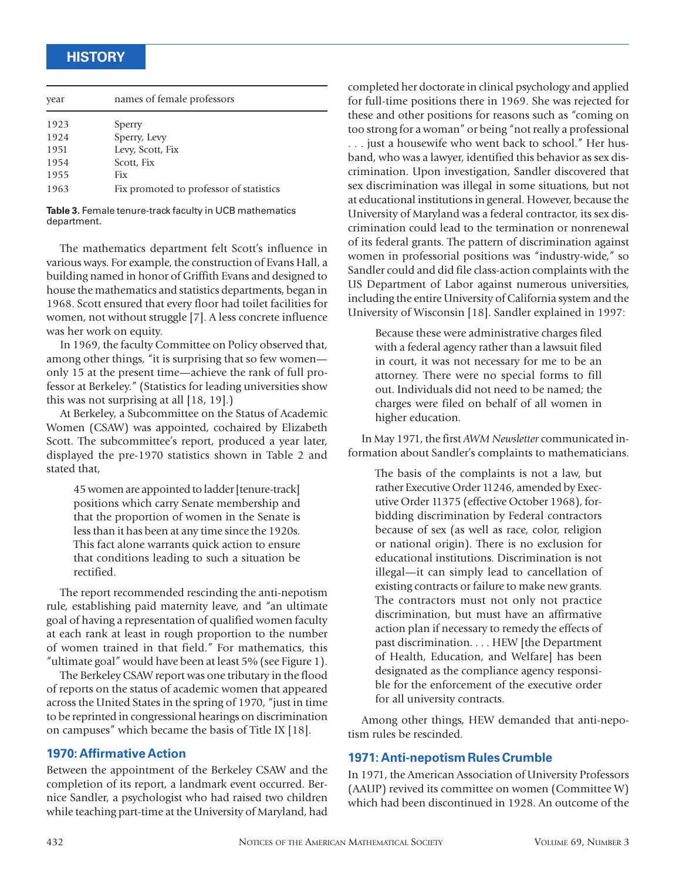| names of female professors              |  |
|-----------------------------------------|--|
| Sperry                                  |  |
| Sperry, Levy                            |  |
| Levy, Scott, Fix                        |  |
| Scott, Fix                              |  |
| <b>Fix</b>                              |  |
| Fix promoted to professor of statistics |  |
|                                         |  |

**Table 3.** Female tenure-track faculty in UCB mathematics department.

The mathematics department felt Scott's influence in various ways. For example, the construction of Evans Hall, a building named in honor of Griffith Evans and designed to house the mathematics and statistics departments, began in 1968. Scott ensured that every floor had toilet facilities for women, not without struggle [7]. A less concrete influence was her work on equity.

In 1969, the faculty Committee on Policy observed that, among other things, "it is surprising that so few women only 15 at the present time—achieve the rank of full professor at Berkeley." (Statistics for leading universities show this was not surprising at all [18, 19].)

At Berkeley, a Subcommittee on the Status of Academic Women (CSAW) was appointed, cochaired by Elizabeth Scott. The subcommittee's report, produced a year later, displayed the pre-1970 statistics shown in Table 2 and stated that,

45 women are appointed to ladder [tenure-track] positions which carry Senate membership and that the proportion of women in the Senate is less than it has been at any time since the 1920s. This fact alone warrants quick action to ensure that conditions leading to such a situation be rectified.

The report recommended rescinding the anti-nepotism rule, establishing paid maternity leave, and "an ultimate goal of having a representation of qualified women faculty at each rank at least in rough proportion to the number of women trained in that field." For mathematics, this "ultimate goal" would have been at least 5% (see Figure 1).

The Berkeley CSAW report was one tributary in the flood of reports on the status of academic women that appeared across the United States in the spring of 1970, "just in time to be reprinted in congressional hearings on discrimination on campuses" which became the basis of Title IX [18].

#### **1970: Affirmative Action**

Between the appointment of the Berkeley CSAW and the completion of its report, a landmark event occurred. Bernice Sandler, a psychologist who had raised two children while teaching part-time at the University of Maryland, had

completed her doctorate in clinical psychology and applied for full-time positions there in 1969. She was rejected for these and other positions for reasons such as "coming on too strong for a woman" or being "not really a professional . . . just a housewife who went back to school." Her husband, who was a lawyer, identified this behavior as sex discrimination. Upon investigation, Sandler discovered that sex discrimination was illegal in some situations, but not at educational institutions in general. However, because the University of Maryland was a federal contractor, its sex discrimination could lead to the termination or nonrenewal of its federal grants. The pattern of discrimination against women in professorial positions was "industry-wide," so Sandler could and did file class-action complaints with the US Department of Labor against numerous universities, including the entire University of California system and the University of Wisconsin [18]. Sandler explained in 1997:

Because these were administrative charges filed with a federal agency rather than a lawsuit filed in court, it was not necessary for me to be an attorney. There were no special forms to fill out. Individuals did not need to be named; the charges were filed on behalf of all women in higher education.

In May 1971, the first *AWM Newsletter* communicated information about Sandler's complaints to mathematicians.

The basis of the complaints is not a law, but rather Executive Order 11246, amended by Executive Order 11375 (effective October 1968), forbidding discrimination by Federal contractors because of sex (as well as race, color, religion or national origin). There is no exclusion for educational institutions. Discrimination is not illegal—it can simply lead to cancellation of existing contracts or failure to make new grants. The contractors must not only not practice discrimination, but must have an affirmative action plan if necessary to remedy the effects of past discrimination. . . . HEW [the Department of Health, Education, and Welfare] has been designated as the compliance agency responsible for the enforcement of the executive order for all university contracts.

Among other things, HEW demanded that anti-nepotism rules be rescinded.

#### **1971: Anti-nepotism Rules Crumble**

In 1971, the American Association of University Professors (AAUP) revived its committee on women (Committee W) which had been discontinued in 1928. An outcome of the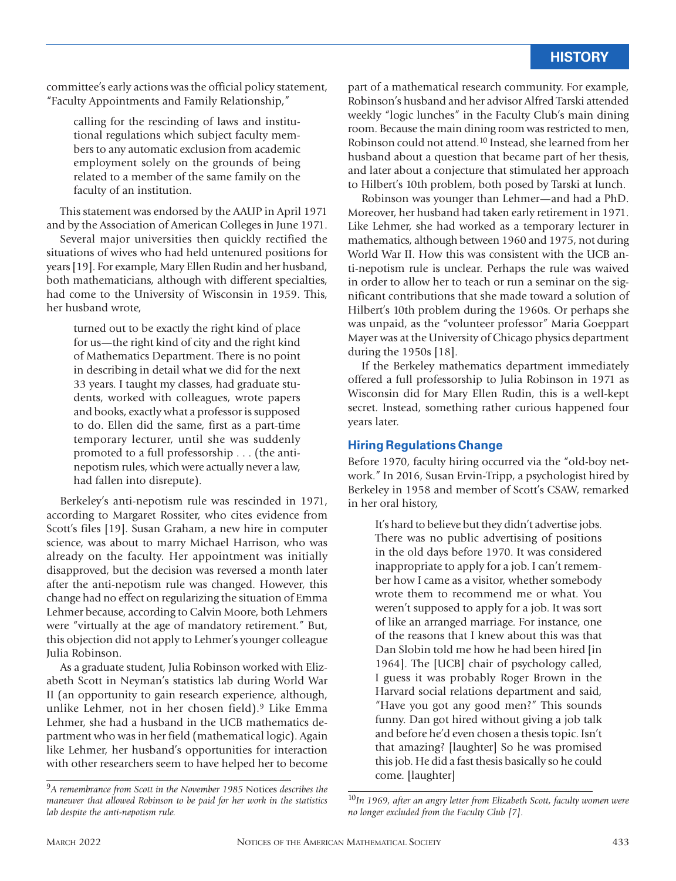committee's early actions was the official policy statement, "Faculty Appointments and Family Relationship,"

calling for the rescinding of laws and institutional regulations which subject faculty members to any automatic exclusion from academic employment solely on the grounds of being related to a member of the same family on the faculty of an institution.

This statement was endorsed by the AAUP in April 1971 and by the Association of American Colleges in June 1971.

Several major universities then quickly rectified the situations of wives who had held untenured positions for years [19]. For example, Mary Ellen Rudin and her husband, both mathematicians, although with different specialties, had come to the University of Wisconsin in 1959. This, her husband wrote,

turned out to be exactly the right kind of place for us—the right kind of city and the right kind of Mathematics Department. There is no point in describing in detail what we did for the next 33 years. I taught my classes, had graduate students, worked with colleagues, wrote papers and books, exactly what a professor is supposed to do. Ellen did the same, first as a part-time temporary lecturer, until she was suddenly promoted to a full professorship . . . (the antinepotism rules, which were actually never a law, had fallen into disrepute).

Berkeley's anti-nepotism rule was rescinded in 1971, according to Margaret Rossiter, who cites evidence from Scott's files [19]. Susan Graham, a new hire in computer science, was about to marry Michael Harrison, who was already on the faculty. Her appointment was initially disapproved, but the decision was reversed a month later after the anti-nepotism rule was changed. However, this change had no effect on regularizing the situation of Emma Lehmer because, according to Calvin Moore, both Lehmers were "virtually at the age of mandatory retirement." But, this objection did not apply to Lehmer's younger colleague Julia Robinson.

As a graduate student, Julia Robinson worked with Elizabeth Scott in Neyman's statistics lab during World War II (an opportunity to gain research experience, although, unlike Lehmer, not in her chosen field).9 Like Emma Lehmer, she had a husband in the UCB mathematics department who was in her field (mathematical logic). Again like Lehmer, her husband's opportunities for interaction with other researchers seem to have helped her to become

part of a mathematical research community. For example, Robinson's husband and her advisor Alfred Tarski attended weekly "logic lunches" in the Faculty Club's main dining room. Because the main dining room was restricted to men, Robinson could not attend.10 Instead, she learned from her husband about a question that became part of her thesis, and later about a conjecture that stimulated her approach to Hilbert's 10th problem, both posed by Tarski at lunch.

Robinson was younger than Lehmer—and had a PhD. Moreover, her husband had taken early retirement in 1971. Like Lehmer, she had worked as a temporary lecturer in mathematics, although between 1960 and 1975, not during World War II. How this was consistent with the UCB anti-nepotism rule is unclear. Perhaps the rule was waived in order to allow her to teach or run a seminar on the significant contributions that she made toward a solution of Hilbert's 10th problem during the 1960s. Or perhaps she was unpaid, as the "volunteer professor" Maria Goeppart Mayer was at the University of Chicago physics department during the 1950s [18].

If the Berkeley mathematics department immediately offered a full professorship to Julia Robinson in 1971 as Wisconsin did for Mary Ellen Rudin, this is a well-kept secret. Instead, something rather curious happened four years later.

#### **Hiring Regulations Change**

Before 1970, faculty hiring occurred via the "old-boy network." In 2016, Susan Ervin-Tripp, a psychologist hired by Berkeley in 1958 and member of Scott's CSAW, remarked in her oral history,

It's hard to believe but they didn't advertise jobs. There was no public advertising of positions in the old days before 1970. It was considered inappropriate to apply for a job. I can't remember how I came as a visitor, whether somebody wrote them to recommend me or what. You weren't supposed to apply for a job. It was sort of like an arranged marriage. For instance, one of the reasons that I knew about this was that Dan Slobin told me how he had been hired [in 1964]. The [UCB] chair of psychology called, I guess it was probably Roger Brown in the Harvard social relations department and said, "Have you got any good men?" This sounds funny. Dan got hired without giving a job talk and before he'd even chosen a thesis topic. Isn't that amazing? [laughter] So he was promised this job. He did a fast thesis basically so he could come. [laughter]

<sup>9</sup>*A remembrance from Scott in the November 1985* Notices *describes the maneuver that allowed Robinson to be paid for her work in the statistics lab despite the anti-nepotism rule.*

<sup>10</sup>*In 1969, after an angry letter from Elizabeth Scott, faculty women were no longer excluded from the Faculty Club [7].*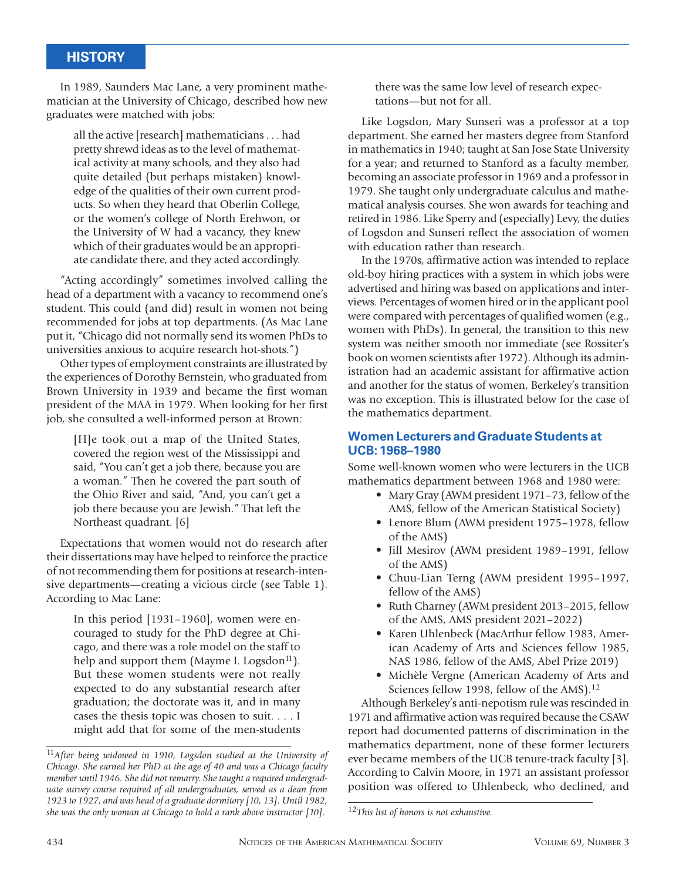In 1989, Saunders Mac Lane, a very prominent mathematician at the University of Chicago, described how new graduates were matched with jobs:

all the active [research] mathematicians . . . had pretty shrewd ideas as to the level of mathematical activity at many schools, and they also had quite detailed (but perhaps mistaken) knowledge of the qualities of their own current products. So when they heard that Oberlin College, or the women's college of North Erehwon, or the University of W had a vacancy, they knew which of their graduates would be an appropriate candidate there, and they acted accordingly.

"Acting accordingly" sometimes involved calling the head of a department with a vacancy to recommend one's student. This could (and did) result in women not being recommended for jobs at top departments. (As Mac Lane put it, "Chicago did not normally send its women PhDs to universities anxious to acquire research hot-shots.")

Other types of employment constraints are illustrated by the experiences of Dorothy Bernstein, who graduated from Brown University in 1939 and became the first woman president of the MAA in 1979. When looking for her first job, she consulted a well-informed person at Brown:

[H]e took out a map of the United States, covered the region west of the Mississippi and said, "You can't get a job there, because you are a woman." Then he covered the part south of the Ohio River and said, "And, you can't get a job there because you are Jewish." That left the Northeast quadrant. [6]

Expectations that women would not do research after their dissertations may have helped to reinforce the practice of not recommending them for positions at research-intensive departments—creating a vicious circle (see Table 1). According to Mac Lane:

In this period [1931–1960], women were encouraged to study for the PhD degree at Chicago, and there was a role model on the staff to help and support them (Mayme I. Logsdon $^{11}$ ). But these women students were not really expected to do any substantial research after graduation; the doctorate was it, and in many cases the thesis topic was chosen to suit. . . . I might add that for some of the men-students

there was the same low level of research expectations—but not for all.

Like Logsdon, Mary Sunseri was a professor at a top department. She earned her masters degree from Stanford in mathematics in 1940; taught at San Jose State University for a year; and returned to Stanford as a faculty member, becoming an associate professor in 1969 and a professor in 1979. She taught only undergraduate calculus and mathematical analysis courses. She won awards for teaching and retired in 1986. Like Sperry and (especially) Levy, the duties of Logsdon and Sunseri reflect the association of women with education rather than research.

In the 1970s, affirmative action was intended to replace old-boy hiring practices with a system in which jobs were advertised and hiring was based on applications and interviews. Percentages of women hired or in the applicant pool were compared with percentages of qualified women (e.g., women with PhDs). In general, the transition to this new system was neither smooth nor immediate (see Rossiter's book on women scientists after 1972). Although its administration had an academic assistant for affirmative action and another for the status of women, Berkeley's transition was no exception. This is illustrated below for the case of the mathematics department.

#### **Women Lecturers and Graduate Students at UCB: 1968–1980**

Some well-known women who were lecturers in the UCB mathematics department between 1968 and 1980 were:

- Mary Gray (AWM president 1971–73, fellow of the AMS, fellow of the American Statistical Society)
- Lenore Blum (AWM president 1975–1978, fellow of the AMS)
- Jill Mesirov (AWM president 1989–1991, fellow of the AMS)
- Chuu-Lian Terng (AWM president 1995–1997, fellow of the AMS)
- Ruth Charney (AWM president 2013–2015, fellow of the AMS, AMS president 2021–2022)
- Karen Uhlenbeck (MacArthur fellow 1983, American Academy of Arts and Sciences fellow 1985, NAS 1986, fellow of the AMS, Abel Prize 2019)
- Michèle Vergne (American Academy of Arts and Sciences fellow 1998, fellow of the AMS).<sup>12</sup>

Although Berkeley's anti-nepotism rule was rescinded in 1971 and affirmative action was required because the CSAW report had documented patterns of discrimination in the mathematics department, none of these former lecturers ever became members of the UCB tenure-track faculty [3]. According to Calvin Moore, in 1971 an assistant professor position was offered to Uhlenbeck, who declined, and

<sup>11</sup>*After being widowed in 1910, Logsdon studied at the University of Chicago. She earned her PhD at the age of 40 and was a Chicago faculty member until 1946. She did not remarry. She taught a required undergraduate survey course required of all undergraduates, served as a dean from 1923 to 1927, and was head of a graduate dormitory [10, 13]. Until 1982, she was the only woman at Chicago to hold a rank above instructor [10].*

<sup>12</sup>*This list of honors is not exhaustive.*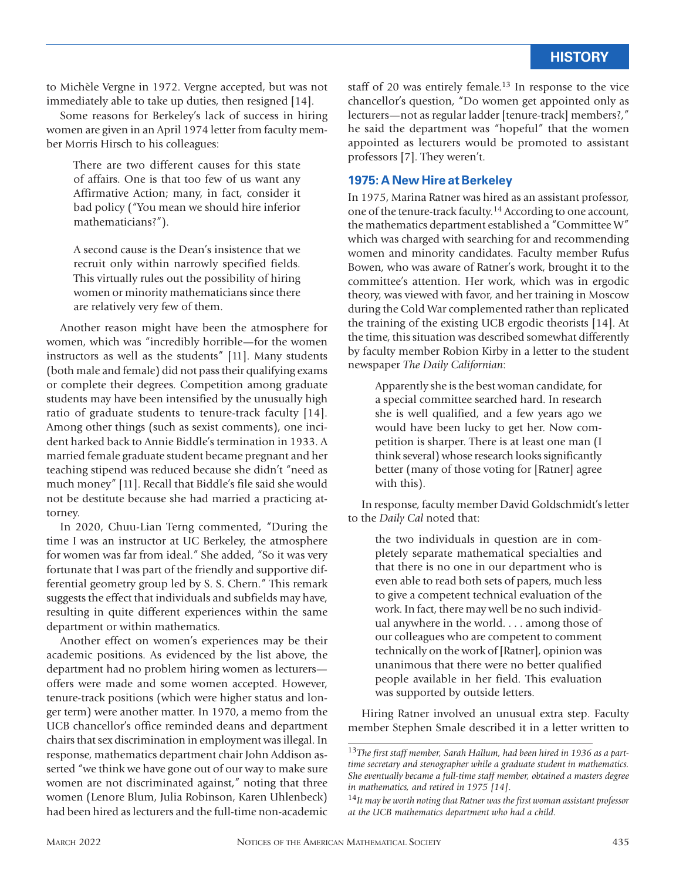to Michèle Vergne in 1972. Vergne accepted, but was not immediately able to take up duties, then resigned [14].

Some reasons for Berkeley's lack of success in hiring women are given in an April 1974 letter from faculty member Morris Hirsch to his colleagues:

There are two different causes for this state of affairs. One is that too few of us want any Affirmative Action; many, in fact, consider it bad policy ("You mean we should hire inferior mathematicians?").

A second cause is the Dean's insistence that we recruit only within narrowly specified fields. This virtually rules out the possibility of hiring women or minority mathematicians since there are relatively very few of them.

Another reason might have been the atmosphere for women, which was "incredibly horrible—for the women instructors as well as the students" [11]. Many students (both male and female) did not pass their qualifying exams or complete their degrees. Competition among graduate students may have been intensified by the unusually high ratio of graduate students to tenure-track faculty [14]. Among other things (such as sexist comments), one incident harked back to Annie Biddle's termination in 1933. A married female graduate student became pregnant and her teaching stipend was reduced because she didn't "need as much money" [11]. Recall that Biddle's file said she would not be destitute because she had married a practicing attorney.

In 2020, Chuu-Lian Terng commented, "During the time I was an instructor at UC Berkeley, the atmosphere for women was far from ideal." She added, "So it was very fortunate that I was part of the friendly and supportive differential geometry group led by S. S. Chern." This remark suggests the effect that individuals and subfields may have, resulting in quite different experiences within the same department or within mathematics.

Another effect on women's experiences may be their academic positions. As evidenced by the list above, the department had no problem hiring women as lecturers offers were made and some women accepted. However, tenure-track positions (which were higher status and longer term) were another matter. In 1970, a memo from the UCB chancellor's office reminded deans and department chairs that sex discrimination in employment was illegal. In response, mathematics department chair John Addison asserted "we think we have gone out of our way to make sure women are not discriminated against," noting that three women (Lenore Blum, Julia Robinson, Karen Uhlenbeck) had been hired as lecturers and the full-time non-academic

staff of 20 was entirely female.13 In response to the vice chancellor's question, "Do women get appointed only as lecturers—not as regular ladder [tenure-track] members?," he said the department was "hopeful" that the women appointed as lecturers would be promoted to assistant professors [7]. They weren't.

#### **1975: A New Hire at Berkeley**

In 1975, Marina Ratner was hired as an assistant professor, one of the tenure-track faculty.14 According to one account, the mathematics department established a "Committee W" which was charged with searching for and recommending women and minority candidates. Faculty member Rufus Bowen, who was aware of Ratner's work, brought it to the committee's attention. Her work, which was in ergodic theory, was viewed with favor, and her training in Moscow during the Cold War complemented rather than replicated the training of the existing UCB ergodic theorists [14]. At the time, this situation was described somewhat differently by faculty member Robion Kirby in a letter to the student newspaper *The Daily Californian*:

Apparently she is the best woman candidate, for a special committee searched hard. In research she is well qualified, and a few years ago we would have been lucky to get her. Now competition is sharper. There is at least one man (I think several) whose research looks significantly better (many of those voting for [Ratner] agree with this).

In response, faculty member David Goldschmidt's letter to the *Daily Cal* noted that:

the two individuals in question are in completely separate mathematical specialties and that there is no one in our department who is even able to read both sets of papers, much less to give a competent technical evaluation of the work. In fact, there may well be no such individual anywhere in the world. . . . among those of our colleagues who are competent to comment technically on the work of [Ratner], opinion was unanimous that there were no better qualified people available in her field. This evaluation was supported by outside letters.

Hiring Ratner involved an unusual extra step. Faculty member Stephen Smale described it in a letter written to

<sup>13</sup>*The first staff member, Sarah Hallum, had been hired in 1936 as a parttime secretary and stenographer while a graduate student in mathematics. She eventually became a full-time staff member, obtained a masters degree in mathematics, and retired in 1975 [14].*

<sup>14</sup>*It may be worth noting that Ratner was the first woman assistant professor at the UCB mathematics department who had a child.*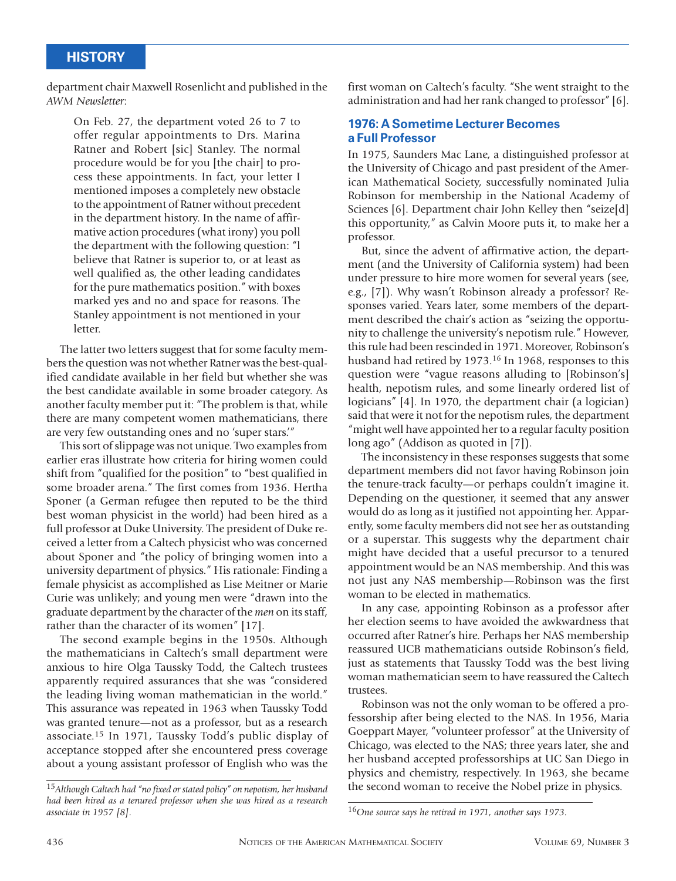department chair Maxwell Rosenlicht and published in the *AWM Newsletter*:

On Feb. 27, the department voted 26 to 7 to offer regular appointments to Drs. Marina Ratner and Robert [sic] Stanley. The normal procedure would be for you [the chair] to process these appointments. In fact, your letter I mentioned imposes a completely new obstacle to the appointment of Ratner without precedent in the department history. In the name of affirmative action procedures (what irony) you poll the department with the following question: "l believe that Ratner is superior to, or at least as well qualified as, the other leading candidates for the pure mathematics position." with boxes marked yes and no and space for reasons. The Stanley appointment is not mentioned in your letter.

The latter two letters suggest that for some faculty members the question was not whether Ratner was the best-qualified candidate available in her field but whether she was the best candidate available in some broader category. As another faculty member put it: "The problem is that, while there are many competent women mathematicians, there are very few outstanding ones and no 'super stars.'"

This sort of slippage was not unique. Two examples from earlier eras illustrate how criteria for hiring women could shift from "qualified for the position" to "best qualified in some broader arena." The first comes from 1936. Hertha Sponer (a German refugee then reputed to be the third best woman physicist in the world) had been hired as a full professor at Duke University. The president of Duke received a letter from a Caltech physicist who was concerned about Sponer and "the policy of bringing women into a university department of physics." His rationale: Finding a female physicist as accomplished as Lise Meitner or Marie Curie was unlikely; and young men were "drawn into the graduate department by the character of the *men* on its staff, rather than the character of its women" [17].

The second example begins in the 1950s. Although the mathematicians in Caltech's small department were anxious to hire Olga Taussky Todd, the Caltech trustees apparently required assurances that she was "considered the leading living woman mathematician in the world." This assurance was repeated in 1963 when Taussky Todd was granted tenure—not as a professor, but as a research associate.15 In 1971, Taussky Todd's public display of acceptance stopped after she encountered press coverage about a young assistant professor of English who was the

first woman on Caltech's faculty. "She went straight to the administration and had her rank changed to professor" [6].

#### **1976: A Sometime Lecturer Becomes a Full Professor**

In 1975, Saunders Mac Lane, a distinguished professor at the University of Chicago and past president of the American Mathematical Society, successfully nominated Julia Robinson for membership in the National Academy of Sciences [6]. Department chair John Kelley then "seize[d] this opportunity," as Calvin Moore puts it, to make her a professor.

But, since the advent of affirmative action, the department (and the University of California system) had been under pressure to hire more women for several years (see, e.g., [7]). Why wasn't Robinson already a professor? Responses varied. Years later, some members of the department described the chair's action as "seizing the opportunity to challenge the university's nepotism rule." However, this rule had been rescinded in 1971. Moreover, Robinson's husband had retired by 1973.<sup>16</sup> In 1968, responses to this question were "vague reasons alluding to [Robinson's] health, nepotism rules, and some linearly ordered list of logicians" [4]. In 1970, the department chair (a logician) said that were it not for the nepotism rules, the department "might well have appointed her to a regular faculty position long ago" (Addison as quoted in [7]).

The inconsistency in these responses suggests that some department members did not favor having Robinson join the tenure-track faculty—or perhaps couldn't imagine it. Depending on the questioner, it seemed that any answer would do as long as it justified not appointing her. Apparently, some faculty members did not see her as outstanding or a superstar. This suggests why the department chair might have decided that a useful precursor to a tenured appointment would be an NAS membership. And this was not just any NAS membership—Robinson was the first woman to be elected in mathematics.

In any case, appointing Robinson as a professor after her election seems to have avoided the awkwardness that occurred after Ratner's hire. Perhaps her NAS membership reassured UCB mathematicians outside Robinson's field, just as statements that Taussky Todd was the best living woman mathematician seem to have reassured the Caltech trustees.

Robinson was not the only woman to be offered a professorship after being elected to the NAS. In 1956, Maria Goeppart Mayer, "volunteer professor" at the University of Chicago, was elected to the NAS; three years later, she and her husband accepted professorships at UC San Diego in physics and chemistry, respectively. In 1963, she became the second woman to receive the Nobel prize in physics.

<sup>15</sup>*Although Caltech had "no fixed or stated policy" on nepotism, her husband had been hired as a tenured professor when she was hired as a research associate in 1957 [8].*

<sup>16</sup>*One source says he retired in 1971, another says 1973.*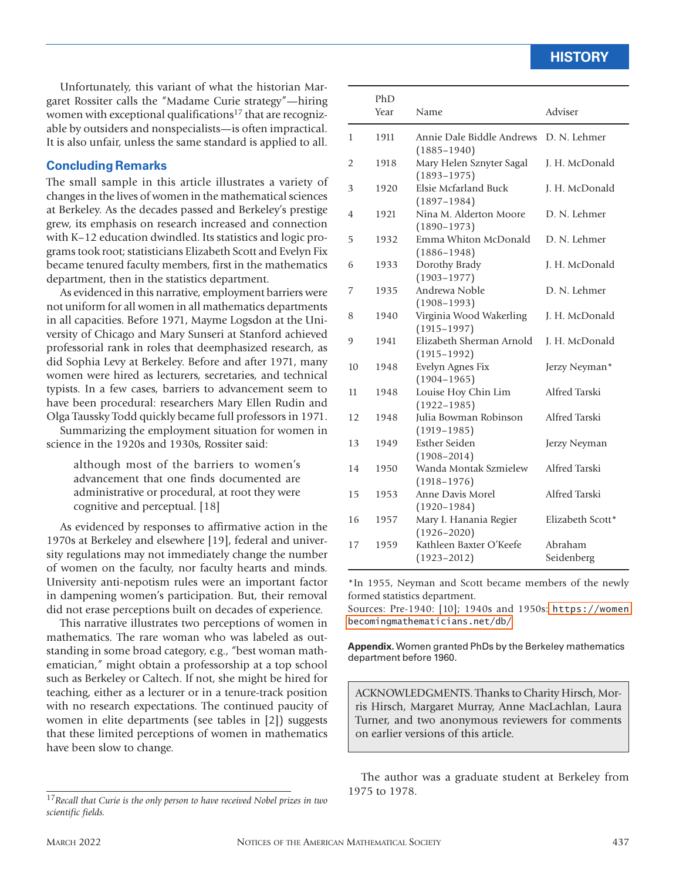Unfortunately, this variant of what the historian Margaret Rossiter calls the "Madame Curie strategy"—hiring women with exceptional qualifications<sup>17</sup> that are recognizable by outsiders and nonspecialists—is often impractical. It is also unfair, unless the same standard is applied to all.

#### **Concluding Remarks**

The small sample in this article illustrates a variety of changes in the lives of women in the mathematical sciences at Berkeley. As the decades passed and Berkeley's prestige grew, its emphasis on research increased and connection with K–12 education dwindled. Its statistics and logic programs took root; statisticians Elizabeth Scott and Evelyn Fix became tenured faculty members, first in the mathematics department, then in the statistics department.

As evidenced in this narrative, employment barriers were not uniform for all women in all mathematics departments in all capacities. Before 1971, Mayme Logsdon at the University of Chicago and Mary Sunseri at Stanford achieved professorial rank in roles that deemphasized research, as did Sophia Levy at Berkeley. Before and after 1971, many women were hired as lecturers, secretaries, and technical typists. In a few cases, barriers to advancement seem to have been procedural: researchers Mary Ellen Rudin and Olga Taussky Todd quickly became full professors in 1971.

Summarizing the employment situation for women in science in the 1920s and 1930s, Rossiter said:

although most of the barriers to women's advancement that one finds documented are administrative or procedural, at root they were cognitive and perceptual. [18]

As evidenced by responses to affirmative action in the 1970s at Berkeley and elsewhere [19], federal and university regulations may not immediately change the number of women on the faculty, nor faculty hearts and minds. University anti-nepotism rules were an important factor in dampening women's participation. But, their removal did not erase perceptions built on decades of experience.

This narrative illustrates two perceptions of women in mathematics. The rare woman who was labeled as outstanding in some broad category, e.g., "best woman mathematician," might obtain a professorship at a top school such as Berkeley or Caltech. If not, she might be hired for teaching, either as a lecturer or in a tenure-track position with no research expectations. The continued paucity of women in elite departments (see tables in [2]) suggests that these limited perceptions of women in mathematics have been slow to change.

|    | PhD<br>Year | Name                                         | Adviser               |
|----|-------------|----------------------------------------------|-----------------------|
| 1  | 1911        | Annie Dale Biddle Andrews<br>$(1885 - 1940)$ | D. N. Lehmer          |
| 2  | 1918        | Mary Helen Sznyter Sagal<br>$(1893 - 1975)$  | J. H. McDonald        |
| 3  | 1920        | Elsie Mcfarland Buck<br>$(1897 - 1984)$      | J. H. McDonald        |
| 4  | 1921        | Nina M. Alderton Moore<br>$(1890 - 1973)$    | D. N. Lehmer          |
| 5  | 1932        | Emma Whiton McDonald<br>$(1886 - 1948)$      | D. N. Lehmer          |
| 6  | 1933        | Dorothy Brady<br>$(1903 - 1977)$             | J. H. McDonald        |
| 7  | 1935        | Andrewa Noble<br>$(1908 - 1993)$             | D. N. Lehmer          |
| 8  | 1940        | Virginia Wood Wakerling<br>$(1915 - 1997)$   | J. H. McDonald        |
| 9  | 1941        | Elizabeth Sherman Arnold<br>$(1915 - 1992)$  | J. H. McDonald        |
| 10 | 1948        | Evelyn Agnes Fix<br>$(1904 - 1965)$          | Jerzy Neyman*         |
| 11 | 1948        | Louise Hoy Chin Lim<br>$(1922 - 1985)$       | Alfred Tarski         |
| 12 | 1948        | Julia Bowman Robinson<br>$(1919 - 1985)$     | Alfred Tarski         |
| 13 | 1949        | <b>Esther Seiden</b><br>$(1908 - 2014)$      | Jerzy Neyman          |
| 14 | 1950        | Wanda Montak Szmielew<br>$(1918 - 1976)$     | Alfred Tarski         |
| 15 | 1953        | Anne Davis Morel<br>$(1920 - 1984)$          | Alfred Tarski         |
| 16 | 1957        | Mary I. Hanania Regier<br>$(1926 - 2020)$    | Elizabeth Scott*      |
| 17 | 1959        | Kathleen Baxter O'Keefe<br>$(1923 - 2012)$   | Abraham<br>Seidenberg |

\*In 1955, Neyman and Scott became members of the newly formed statistics department.

Sources: Pre-1940: [10]; 1940s and 1950s: [https://women](https://womenbecomingmathematicians.net/db/) [becomingmathematicians.net/db/](https://womenbecomingmathematicians.net/db/)

**Appendix.** Women granted PhDs by the Berkeley mathematics department before 1960.

ACKNOWLEDGMENTS. Thanks to Charity Hirsch, Morris Hirsch, Margaret Murray, Anne MacLachlan, Laura Turner, and two anonymous reviewers for comments on earlier versions of this article.

The author was a graduate student at Berkeley from 1975 to 1978.

<sup>17</sup>*Recall that Curie is the only person to have received Nobel prizes in two scientific fields.*